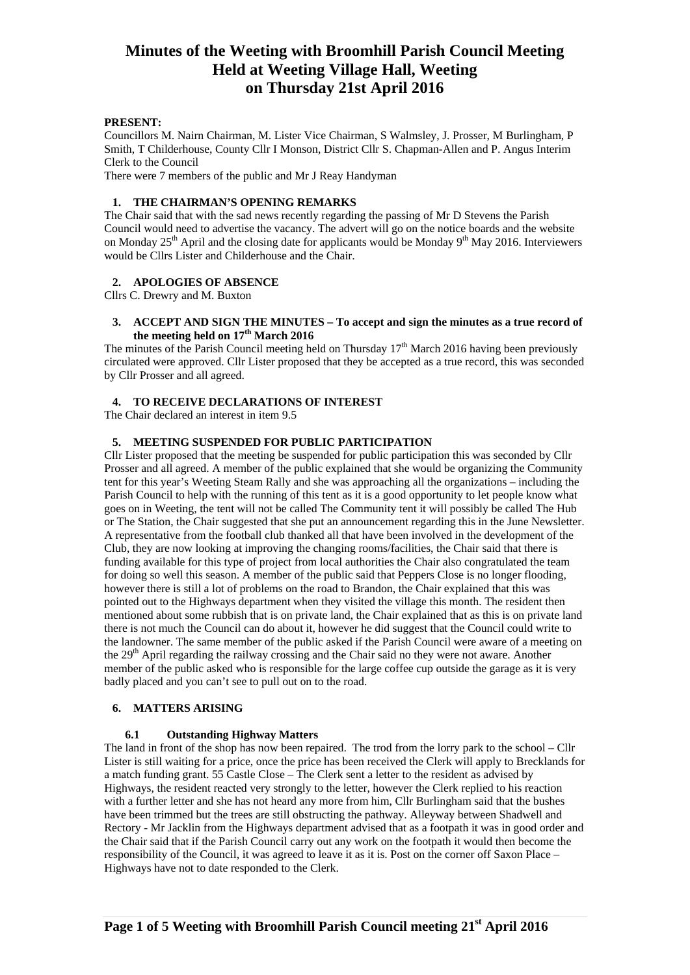## **PRESENT:**

Councillors M. Nairn Chairman, M. Lister Vice Chairman, S Walmsley, J. Prosser, M Burlingham, P Smith, T Childerhouse, County Cllr I Monson, District Cllr S. Chapman-Allen and P. Angus Interim Clerk to the Council

There were 7 members of the public and Mr J Reay Handyman

## **1. THE CHAIRMAN'S OPENING REMARKS**

The Chair said that with the sad news recently regarding the passing of Mr D Stevens the Parish Council would need to advertise the vacancy. The advert will go on the notice boards and the website on Monday  $25<sup>th</sup>$  April and the closing date for applicants would be Monday 9<sup>th</sup> May 2016. Interviewers would be Cllrs Lister and Childerhouse and the Chair.

#### **2. APOLOGIES OF ABSENCE**

Cllrs C. Drewry and M. Buxton

### **3. ACCEPT AND SIGN THE MINUTES – To accept and sign the minutes as a true record of**  the meeting held on  $17<sup>th</sup>$  March 2016

The minutes of the Parish Council meeting held on Thursday 17<sup>th</sup> March 2016 having been previously circulated were approved. Cllr Lister proposed that they be accepted as a true record, this was seconded by Cllr Prosser and all agreed.

#### **4. TO RECEIVE DECLARATIONS OF INTEREST**

The Chair declared an interest in item 9.5

#### **5. MEETING SUSPENDED FOR PUBLIC PARTICIPATION**

Cllr Lister proposed that the meeting be suspended for public participation this was seconded by Cllr Prosser and all agreed. A member of the public explained that she would be organizing the Community tent for this year's Weeting Steam Rally and she was approaching all the organizations – including the Parish Council to help with the running of this tent as it is a good opportunity to let people know what goes on in Weeting, the tent will not be called The Community tent it will possibly be called The Hub or The Station, the Chair suggested that she put an announcement regarding this in the June Newsletter. A representative from the football club thanked all that have been involved in the development of the Club, they are now looking at improving the changing rooms/facilities, the Chair said that there is funding available for this type of project from local authorities the Chair also congratulated the team for doing so well this season. A member of the public said that Peppers Close is no longer flooding, however there is still a lot of problems on the road to Brandon, the Chair explained that this was pointed out to the Highways department when they visited the village this month. The resident then mentioned about some rubbish that is on private land, the Chair explained that as this is on private land there is not much the Council can do about it, however he did suggest that the Council could write to the landowner. The same member of the public asked if the Parish Council were aware of a meeting on the 29th April regarding the railway crossing and the Chair said no they were not aware. Another member of the public asked who is responsible for the large coffee cup outside the garage as it is very badly placed and you can't see to pull out on to the road.

#### **6. MATTERS ARISING**

#### **6.1 Outstanding Highway Matters**

The land in front of the shop has now been repaired. The trod from the lorry park to the school – Cllr Lister is still waiting for a price, once the price has been received the Clerk will apply to Brecklands for a match funding grant. 55 Castle Close – The Clerk sent a letter to the resident as advised by Highways, the resident reacted very strongly to the letter, however the Clerk replied to his reaction with a further letter and she has not heard any more from him, Cllr Burlingham said that the bushes have been trimmed but the trees are still obstructing the pathway. Alleyway between Shadwell and Rectory - Mr Jacklin from the Highways department advised that as a footpath it was in good order and the Chair said that if the Parish Council carry out any work on the footpath it would then become the responsibility of the Council, it was agreed to leave it as it is. Post on the corner off Saxon Place – Highways have not to date responded to the Clerk.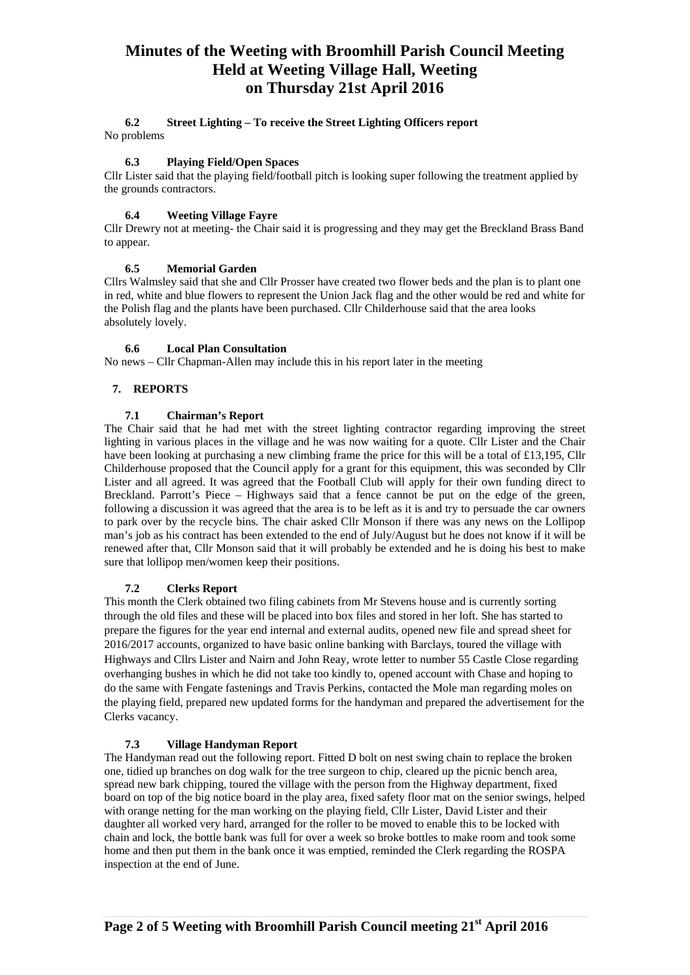#### **6.2 Street Lighting – To receive the Street Lighting Officers report** No problems

# **6.3 Playing Field/Open Spaces**

Cllr Lister said that the playing field/football pitch is looking super following the treatment applied by the grounds contractors.

## **6.4 Weeting Village Fayre**

Cllr Drewry not at meeting- the Chair said it is progressing and they may get the Breckland Brass Band to appear.

## **6.5 Memorial Garden**

Cllrs Walmsley said that she and Cllr Prosser have created two flower beds and the plan is to plant one in red, white and blue flowers to represent the Union Jack flag and the other would be red and white for the Polish flag and the plants have been purchased. Cllr Childerhouse said that the area looks absolutely lovely.

## **6.6 Local Plan Consultation**

No news – Cllr Chapman-Allen may include this in his report later in the meeting

## **7. REPORTS**

## **7.1 Chairman's Report**

The Chair said that he had met with the street lighting contractor regarding improving the street lighting in various places in the village and he was now waiting for a quote. Cllr Lister and the Chair have been looking at purchasing a new climbing frame the price for this will be a total of £13,195, Cllr Childerhouse proposed that the Council apply for a grant for this equipment, this was seconded by Cllr Lister and all agreed. It was agreed that the Football Club will apply for their own funding direct to Breckland. Parrott's Piece – Highways said that a fence cannot be put on the edge of the green, following a discussion it was agreed that the area is to be left as it is and try to persuade the car owners to park over by the recycle bins. The chair asked Cllr Monson if there was any news on the Lollipop man's job as his contract has been extended to the end of July/August but he does not know if it will be renewed after that, Cllr Monson said that it will probably be extended and he is doing his best to make sure that lollipop men/women keep their positions.

## **7.2 Clerks Report**

This month the Clerk obtained two filing cabinets from Mr Stevens house and is currently sorting through the old files and these will be placed into box files and stored in her loft. She has started to prepare the figures for the year end internal and external audits, opened new file and spread sheet for 2016/2017 accounts, organized to have basic online banking with Barclays, toured the village with Highways and Cllrs Lister and Nairn and John Reay, wrote letter to number 55 Castle Close regarding overhanging bushes in which he did not take too kindly to, opened account with Chase and hoping to do the same with Fengate fastenings and Travis Perkins, contacted the Mole man regarding moles on the playing field, prepared new updated forms for the handyman and prepared the advertisement for the Clerks vacancy.

## **7.3 Village Handyman Report**

The Handyman read out the following report. Fitted D bolt on nest swing chain to replace the broken one, tidied up branches on dog walk for the tree surgeon to chip, cleared up the picnic bench area, spread new bark chipping, toured the village with the person from the Highway department, fixed board on top of the big notice board in the play area, fixed safety floor mat on the senior swings, helped with orange netting for the man working on the playing field, Cllr Lister, David Lister and their daughter all worked very hard, arranged for the roller to be moved to enable this to be locked with chain and lock, the bottle bank was full for over a week so broke bottles to make room and took some home and then put them in the bank once it was emptied, reminded the Clerk regarding the ROSPA inspection at the end of June.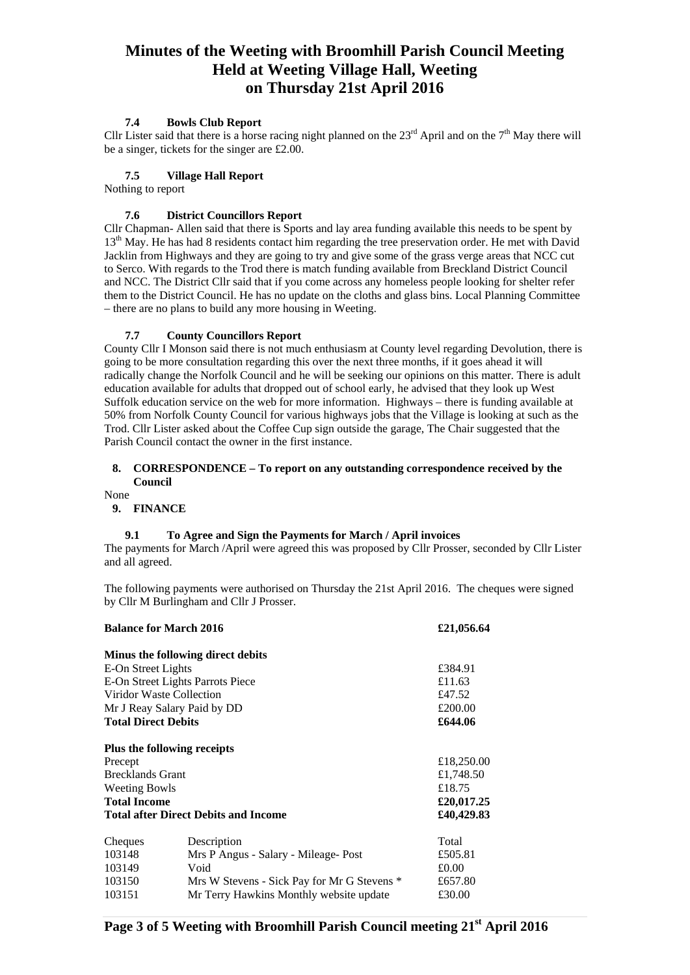## **7.4 Bowls Club Report**

Cllr Lister said that there is a horse racing night planned on the  $23<sup>rd</sup>$  April and on the  $7<sup>th</sup>$  May there will be a singer, tickets for the singer are £2.00.

## **7.5 Village Hall Report**

Nothing to report

## **7.6 District Councillors Report**

Cllr Chapman- Allen said that there is Sports and lay area funding available this needs to be spent by 13<sup>th</sup> May. He has had 8 residents contact him regarding the tree preservation order. He met with David Jacklin from Highways and they are going to try and give some of the grass verge areas that NCC cut to Serco. With regards to the Trod there is match funding available from Breckland District Council and NCC. The District Cllr said that if you come across any homeless people looking for shelter refer them to the District Council. He has no update on the cloths and glass bins. Local Planning Committee – there are no plans to build any more housing in Weeting.

## **7.7 County Councillors Report**

County Cllr I Monson said there is not much enthusiasm at County level regarding Devolution, there is going to be more consultation regarding this over the next three months, if it goes ahead it will radically change the Norfolk Council and he will be seeking our opinions on this matter. There is adult education available for adults that dropped out of school early, he advised that they look up West Suffolk education service on the web for more information. Highways – there is funding available at 50% from Norfolk County Council for various highways jobs that the Village is looking at such as the Trod. Cllr Lister asked about the Coffee Cup sign outside the garage, The Chair suggested that the Parish Council contact the owner in the first instance.

### **8. CORRESPONDENCE – To report on any outstanding correspondence received by the Council**

None

### **9. FINANCE**

### **9.1 To Agree and Sign the Payments for March / April invoices**

The payments for March /April were agreed this was proposed by Cllr Prosser, seconded by Cllr Lister and all agreed.

The following payments were authorised on Thursday the 21st April 2016. The cheques were signed by Cllr M Burlingham and Cllr J Prosser.

| <b>Balance for March 2016</b>               | £21,056.64                                  |            |
|---------------------------------------------|---------------------------------------------|------------|
|                                             | Minus the following direct debits           |            |
| E-On Street Lights                          | £384.91                                     |            |
| E-On Street Lights Parrots Piece            | £11.63                                      |            |
| Viridor Waste Collection                    | £47.52                                      |            |
| Mr J Reay Salary Paid by DD                 | £200.00                                     |            |
| <b>Total Direct Debits</b>                  | £644.06                                     |            |
|                                             | Plus the following receipts                 |            |
| Precept                                     |                                             | £18,250.00 |
| <b>Brecklands Grant</b>                     | £1,748.50                                   |            |
| <b>Weeting Bowls</b>                        |                                             | £18.75     |
| <b>Total Income</b>                         |                                             | £20,017.25 |
| <b>Total after Direct Debits and Income</b> | £40,429.83                                  |            |
| Cheques                                     | Description                                 | Total      |
| 103148                                      | Mrs P Angus - Salary - Mileage- Post        | £505.81    |
| 103149                                      | Void                                        | £0.00      |
| 103150                                      | Mrs W Stevens - Sick Pay for Mr G Stevens * | £657.80    |
| 103151                                      | Mr Terry Hawkins Monthly website update     | £30.00     |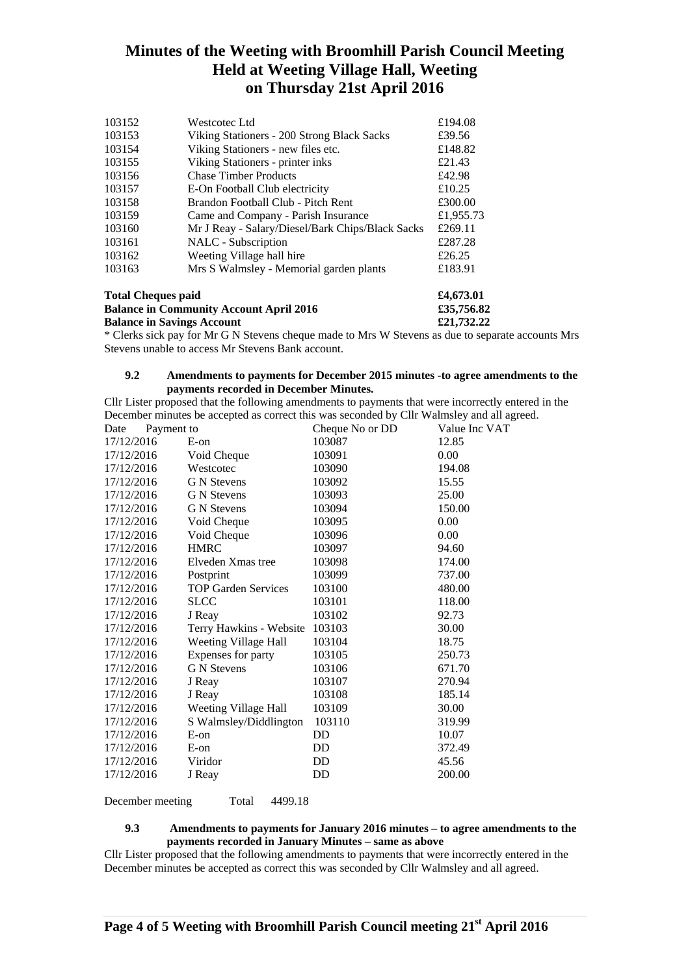| <b>Total Cheques paid</b> | £4,673.01                                        |           |
|---------------------------|--------------------------------------------------|-----------|
| 103163                    | Mrs S Walmsley - Memorial garden plants          | £183.91   |
| 103162                    | Weeting Village hall hire                        | £26.25    |
| 103161                    | NALC - Subscription                              | £287.28   |
| 103160                    | Mr J Reay - Salary/Diesel/Bark Chips/Black Sacks | £269.11   |
| 103159                    | Came and Company - Parish Insurance              | £1,955.73 |
| 103158                    | Brandon Football Club - Pitch Rent               | £300.00   |
| 103157                    | E-On Football Club electricity                   | £10.25    |
| 103156                    | <b>Chase Timber Products</b>                     | £42.98    |
| 103155                    | Viking Stationers - printer inks                 | £21.43    |
| 103154                    | Viking Stationers - new files etc.               | £148.82   |
| 103153                    | Viking Stationers - 200 Strong Black Sacks       | £39.56    |
| 103152                    | Westcotec Ltd                                    | £194.08   |

**Balance in Community Account April 2016 £35,756.82 Balance in Savings Account £21,732.22** 

\* Clerks sick pay for Mr G N Stevens cheque made to Mrs W Stevens as due to separate accounts Mrs Stevens unable to access Mr Stevens Bank account.

### **9.2 Amendments to payments for December 2015 minutes -to agree amendments to the payments recorded in December Minutes.**

Cllr Lister proposed that the following amendments to payments that were incorrectly entered in the December minutes be accepted as correct this was seconded by Cllr Walmsley and all agreed.

| Date       | Payment to |                            | Cheque No or DD | Value Inc VAT |
|------------|------------|----------------------------|-----------------|---------------|
| 17/12/2016 |            | $E$ -on                    | 103087          | 12.85         |
| 17/12/2016 |            | Void Cheque                | 103091          | 0.00          |
| 17/12/2016 |            | Westcotec                  | 103090          | 194.08        |
| 17/12/2016 |            | <b>G</b> N Stevens         | 103092          | 15.55         |
| 17/12/2016 |            | G N Stevens                | 103093          | 25.00         |
| 17/12/2016 |            | <b>G</b> N Stevens         | 103094          | 150.00        |
| 17/12/2016 |            | Void Cheque                | 103095          | 0.00          |
| 17/12/2016 |            | Void Cheque                | 103096          | 0.00          |
| 17/12/2016 |            | <b>HMRC</b>                | 103097          | 94.60         |
| 17/12/2016 |            | Elveden Xmas tree          | 103098          | 174.00        |
| 17/12/2016 |            | Postprint                  | 103099          | 737.00        |
| 17/12/2016 |            | <b>TOP Garden Services</b> | 103100          | 480.00        |
| 17/12/2016 |            | <b>SLCC</b>                | 103101          | 118.00        |
| 17/12/2016 |            | J Reay                     | 103102          | 92.73         |
| 17/12/2016 |            | Terry Hawkins - Website    | 103103          | 30.00         |
| 17/12/2016 |            | Weeting Village Hall       | 103104          | 18.75         |
| 17/12/2016 |            | Expenses for party         | 103105          | 250.73        |
| 17/12/2016 |            | <b>G</b> N Stevens         | 103106          | 671.70        |
| 17/12/2016 |            | J Reay                     | 103107          | 270.94        |
| 17/12/2016 |            | J Reay                     | 103108          | 185.14        |
| 17/12/2016 |            | Weeting Village Hall       | 103109          | 30.00         |
| 17/12/2016 |            | S Walmsley/Diddlington     | 103110          | 319.99        |
| 17/12/2016 |            | $E$ -on                    | DD              | 10.07         |
| 17/12/2016 |            | $E$ -on                    | DD              | 372.49        |
| 17/12/2016 |            | Viridor                    | DD              | 45.56         |
| 17/12/2016 |            | J Reay                     | DD              | 200.00        |
|            |            |                            |                 |               |

December meeting Total 4499.18

## **9.3 Amendments to payments for January 2016 minutes – to agree amendments to the payments recorded in January Minutes – same as above**

Cllr Lister proposed that the following amendments to payments that were incorrectly entered in the December minutes be accepted as correct this was seconded by Cllr Walmsley and all agreed.